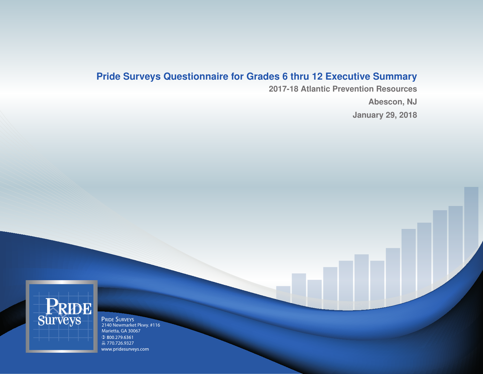## **Pride Surveys Questionnaire for Grades 6 thru 12 Executive Summary**

**2017-18 Atlantic Prevention Resources Abescon, NJ January 29, 2018**

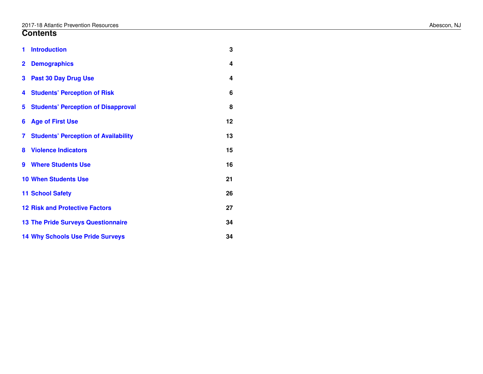### **Contents**

| 1              | <b>Introduction</b>                         | 3  |
|----------------|---------------------------------------------|----|
| $\overline{2}$ | <b>Demographics</b>                         | 4  |
| 3              | <b>Past 30 Day Drug Use</b>                 | 4  |
| 4              | <b>Students' Perception of Risk</b>         | 6  |
| 5              | <b>Students' Perception of Disapproval</b>  | 8  |
| 6              | <b>Age of First Use</b>                     | 12 |
| 7              | <b>Students' Perception of Availability</b> | 13 |
| 8              | <b>Violence Indicators</b>                  | 15 |
| 9              | <b>Where Students Use</b>                   | 16 |
|                | <b>10 When Students Use</b>                 | 21 |
|                | <b>11 School Safety</b>                     | 26 |
|                | <b>12 Risk and Protective Factors</b>       | 27 |
|                | <b>13 The Pride Surveys Questionnaire</b>   | 34 |
|                | <b>14 Why Schools Use Pride Surveys</b>     | 34 |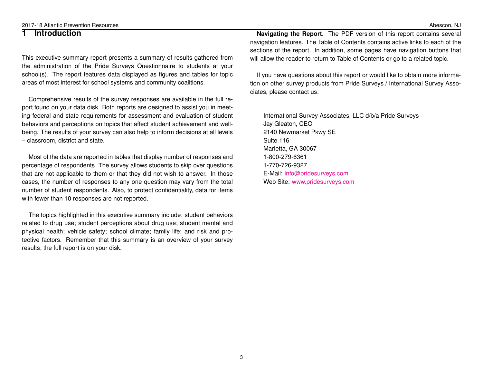The topics highlighted in this executive summary include: student behaviors related to drug use; student perceptions about drug use; student mental and physical health; vehicle safety; school climate; family life; and risk and protective factors. Remember that this summary is an overview of your survey results; the full report is on your disk.

**Navigating the Report.** The PDF version of this report contains several navigation features. The Table of Contents contains active links to each of the sections of the report. In addition, some pages have navigation buttons that will allow the reader to return to Table of Contents or go to a related topic.

If you have questions about this report or would like to obtain more information on other survey products from Pride Surveys / International Survey Associates, please contact us:

International Survey Associates, LLC d/b/a Pride Surveys Jay Gleaton, CEO 2140 Newmarket Pkwy SE Suite 116 Marietta, GA 30067 1-800-279-6361 1-770-726-9327 E-Mail: [info@pridesurveys.com](mailto:info@pridesurveys.com) Web Site: [www.pridesurveys.com](http://www.pridesurveys.com)

#### <span id="page-2-0"></span>**1 Introduction**

This executive summary report presents a summary of results gathered from the administration of the Pride Surveys Questionnaire to students at your school(s). The report features data displayed as figures and tables for topic areas of most interest for school systems and community coalitions.

Comprehensive results of the survey responses are available in the full report found on your data disk. Both reports are designed to assist you in meeting federal and state requirements for assessment and evaluation of student behaviors and perceptions on topics that affect student achievement and wellbeing. The results of your survey can also help to inform decisions at all levels – classroom, district and state.

Most of the data are reported in tables that display number of responses and percentage of respondents. The survey allows students to skip over questions that are not applicable to them or that they did not wish to answer. In those cases, the number of responses to any one question may vary from the total number of student respondents. Also, to protect confidentiality, data for items with fewer than 10 responses are not reported.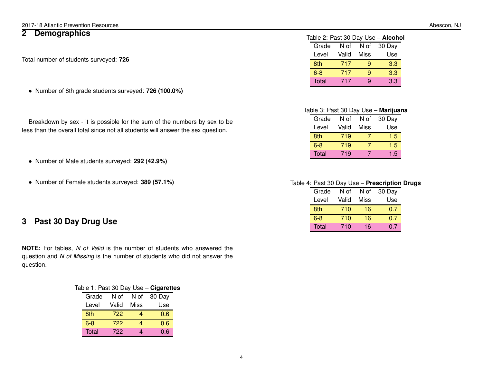### <span id="page-3-0"></span>**2 Demographics**

Total number of students surveyed: **726**

• Number of 8th grade students surveyed: **726 (100.0%)**

Breakdown by sex - it is possible for the sum of the numbers by sex to be less than the overall total since not all students will answer the sex question.

• Number of Male students surveyed: **292 (42.9%)**

• Number of Female students surveyed: **389 (57.1%)**

### <span id="page-3-1"></span>**3 Past 30 Day Drug Use**

**NOTE:** For tables, *N of Valid* is the number of students who answered the question and *N of Missing* is the number of students who did not answer the question.

|         |       |      | Table 1: Past 30 Day Use - Cigarettes |  |
|---------|-------|------|---------------------------------------|--|
| Grade   | N of  | N of | 30 Day                                |  |
| Level   | Valid | Miss | Use                                   |  |
| 8th     | 722   |      | 0.6                                   |  |
| $6 - 8$ | 722   |      | 0.6                                   |  |
| Total   | 722   |      | 0.6                                   |  |

|  |  |  | Table 2: Past 30 Day Use - Alcohol |
|--|--|--|------------------------------------|
|--|--|--|------------------------------------|

| Grade   | N of  | N of | 30 Day |
|---------|-------|------|--------|
| Level   | Valid | Miss | Use    |
| 8th     | 717   | g    | 3.3    |
| $6 - 8$ | 717   | 9    | 3.3    |
| Total   | 717   | g    | 3.3    |

#### Table 3: Past 30 Day Use – **Marijuana**

| Grade   | N of  | N of | 30 Day |
|---------|-------|------|--------|
| Level   | Valid | Miss | Use    |
| 8th     | 719   |      | 1.5    |
| $6 - 8$ | 719   |      | 1.5    |
| Total   | 719   |      | 1.5    |

#### Table 4: Past 30 Day Use – **Prescription Drugs**

| Grade   | N of  | N of | 30 Day |
|---------|-------|------|--------|
| Level   | Valid | Miss | Use    |
| 8th     | 710   | 16   | 0.7    |
| $6 - 8$ | 710   | 16   | 0.7    |
| Total   | 710   | 16   | 0.7    |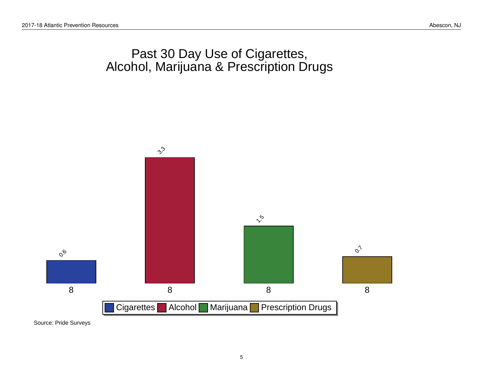## Past 30 Day Use of Cigarettes, Alcohol, Marijuana & Prescription Drugs

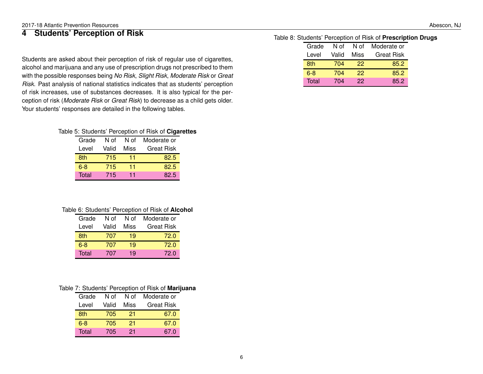### <span id="page-5-0"></span>**4 Students' Perception of Risk**

Students are asked about their perception of risk of regular use of cigarettes, alcohol and marijuana and any use of prescription drugs not prescribed to them with the possible responses being *No Risk*, *Slight Risk*, *Moderate Risk* or *Great Risk*. Past analysis of national statistics indicates that as students' perception of risk increases, use of substances decreases. It is also typical for the perception of risk (*Moderate Risk* or *Great Risk*) to decrease as a child gets older. Your students' responses are detailed in the following tables.

#### Table 5: Students' Perception of Risk of **Cigarettes**

| Grade   | N of  | N of | Moderate or       |
|---------|-------|------|-------------------|
| Level   | Valid | Miss | <b>Great Risk</b> |
| 8th     | 715   | 11   | 82.5              |
| $6 - 8$ | 715   | 11   | 82.5              |
| Total   | 715   | 11   | 82.5              |

#### Table 6: Students' Perception of Risk of **Alcohol**

| Grade | N of  | N of | Moderate or       |
|-------|-------|------|-------------------|
| Level | Valid | Miss | <b>Great Risk</b> |
| 8th   | 707   | 19   | 72.0              |
| $6-8$ | 707   | 19   | 72.0              |
| Total | 707   | 19   | 72.0              |

#### Table 7: Students' Perception of Risk of **Marijuana**

| Grade | N of  | N of | Moderate or       |
|-------|-------|------|-------------------|
| Level | Valid | Miss | <b>Great Risk</b> |
| 8th   | 705   | 21   | 67.0              |
| 6-8   | 705   | 21   | 67.0              |
| Total | 705   | 21   | 67.0              |

#### Table 8: Students' Perception of Risk of **Prescription Drugs**

| Grade   | N of  | N of | Moderate or       |
|---------|-------|------|-------------------|
| Level   | Valid | Miss | <b>Great Risk</b> |
| 8th     | 704   | 22   | 85.2              |
| $6 - 8$ | 704   | 22   | 85.2              |
| Total   | 704   | 22   | 85.2              |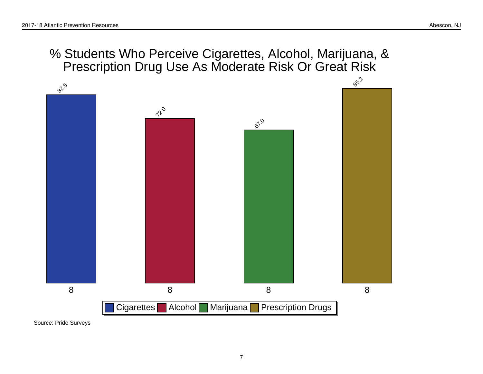## % Students Who Perceive Cigarettes, Alcohol, Marijuana, & Prescription Drug Use As Moderate Risk Or Great Risk

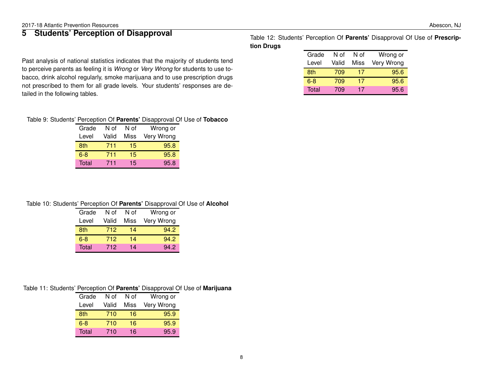### <span id="page-7-0"></span>**5 Students' Perception of Disapproval**

Past analysis of national statistics indicates that the majority of students tend to perceive parents as feeling it is *Wrong* or *Very Wrong* for students to use tobacco, drink alcohol regularly, smoke marijuana and to use prescription drugs not prescribed to them for all grade levels. Your students' responses are detailed in the following tables.

#### Table 9: Students' Perception Of **Parents'** Disapproval Of Use of **Tobacco**

| Grade | N of  | N of | Wrong or   |
|-------|-------|------|------------|
| Level | Valid | Miss | Very Wrong |
| 8th   | 711   | 15   | 95.8       |
| $6-8$ | 711   | 15   | 95.8       |
| Total | 711   | 15   | 95.8       |

#### Table 10: Students' Perception Of **Parents'** Disapproval Of Use of **Alcohol**

| Grade   | N of  | N of | Wrong or   |
|---------|-------|------|------------|
| Level   | Valid | Miss | Very Wrong |
| 8th     | 712   | 14   | 94.2       |
| $6 - 8$ | 712   | 14   | 94.2       |
| Total   | 712   | 14   | 94.2       |

#### Table 11: Students' Perception Of **Parents'** Disapproval Of Use of **Marijuana**

| Grade | N of  | N of | Wrong or   |
|-------|-------|------|------------|
| Level | Valid | Miss | Very Wrong |
| 8th   | 710   | 16   | 95.9       |
| 6-8   | 710   | 16   | 95.9       |
| Total | 710   | 16   | 95.9       |

Table 12: Students' Perception Of **Parents'** Disapproval Of Use of **Prescription Drugs**

| Grade | N of  | N of | Wrong or   |
|-------|-------|------|------------|
| Level | Valid | Miss | Very Wrong |
| 8th   | 709   | 17   | 95.6       |
| 6-8   | 709   | 17   | 95.6       |
| Total | 709   | 17   | 95.6       |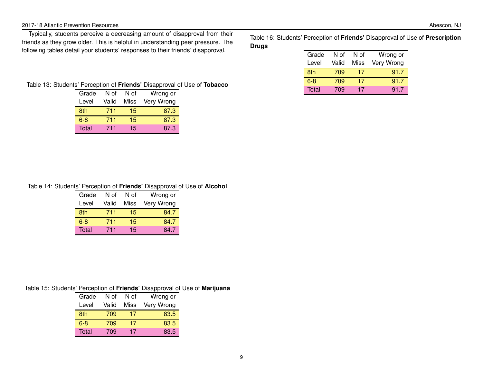#### 2017-18 Atlantic Prevention Resources Abescon, NJ

Typically, students perceive a decreasing amount of disapproval from their friends as they grow older. This is helpful in understanding peer pressure. The following tables detail your students' responses to their friends' disapproval.

Table 16: Students' Perception of **Friends'** Disapproval of Use of **Prescription Drugs**

| Grade | N of  | N of | Wrong or   |
|-------|-------|------|------------|
| Level | Valid | Miss | Very Wrong |
| 8th   | 709   | 17   | 91.7       |
| $6-8$ | 709   | 17   | 91.7       |
| Total | 709   | 17   | 917        |

Table 13: Students' Perception of **Friends'** Disapproval of Use of **Tobacco**

| Grade | N of  | N of | Wrong or   |
|-------|-------|------|------------|
| Level | Valid | Miss | Very Wrong |
| 8th   | 711   | 15   | 87.3       |
| $6-8$ | 711   | 15   | 87.3       |
| Total | 711   | 15   | 87.3       |

#### Table 14: Students' Perception of **Friends'** Disapproval of Use of **Alcohol**

| Grade | N of  | N of | Wrong or   |
|-------|-------|------|------------|
| Level | Valid | Miss | Very Wrong |
| 8th   | 711   | 15   | 84.7       |
| 6-8   | 711   | 15   | 84.7       |
| Total | 711   | 15   | 84.7       |

#### Table 15: Students' Perception of **Friends'** Disapproval of Use of **Marijuana**

| Grade | N of  | N of | Wrong or   |
|-------|-------|------|------------|
| Level | Valid | Miss | Very Wrong |
| 8th   | 709   | 17   | 83.5       |
| 6-8   | 709   | 17   | 83.5       |
| Total | 709   | 17   | 83.5       |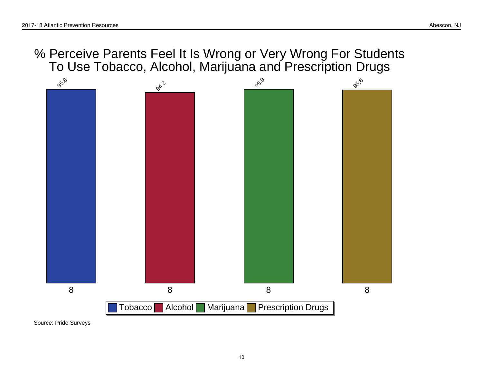% Perceive Parents Feel It Is Wrong or Very Wrong For Students To Use Tobacco, Alcohol, Marijuana and Prescription Drugs

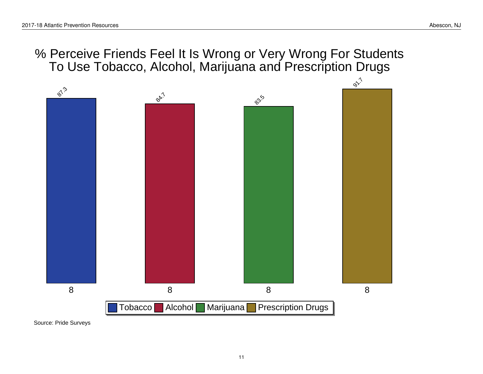## % Perceive Friends Feel It Is Wrong or Very Wrong For Students To Use Tobacco, Alcohol, Marijuana and Prescription Drugs

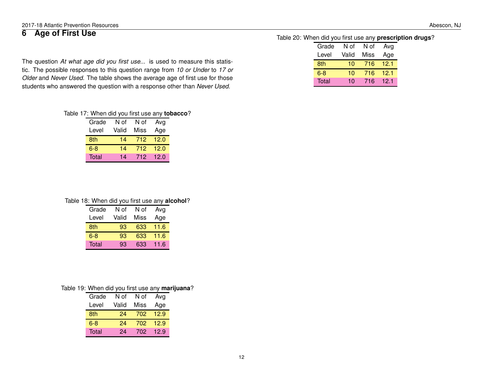12

<span id="page-11-0"></span>

|  | 6 Age of First Use |  |  |  |  |
|--|--------------------|--|--|--|--|
|--|--------------------|--|--|--|--|

The question *At what age did you first use...* is used to measure this statistic. The possible responses to this question range from *10 or Under* to *17 or Older* and *Never Used*. The table shows the average age of first use for those students who answered the question with a response other than *Never Used*.

#### Table 17: When did you first use any **tobacco**? Grade N of N of Avg

Level Valid Miss Age 8th 14 712 12.0 6-8 14 712 12.0 Total 14 712 12.0

#### Table 18: When did you first use any **alcohol**?

| Grade   | N of  | N of | Avg  |
|---------|-------|------|------|
| Level   | Valid | Miss | Age  |
| 8th     | 93    | 633  | 11.6 |
| $6 - 8$ | 93    | 633  | 11.6 |
| Total   | 93    | 633  | 11.6 |

#### Table 19: When did you first use any **marijuana**?

| Grade   | N of  | N of | Avg  |
|---------|-------|------|------|
| Level   | Valid | Miss | Age  |
| 8th     | 24    | 702  | 12.9 |
| $6 - 8$ | 24    | 702  | 12.9 |
| Total   | 24    | 702  | 12.9 |

#### Table 20: When did you first use any **prescription drugs**?

| Grade   | N of  | N of | Avg  |
|---------|-------|------|------|
| Level   | Valid | Miss | Age  |
| 8th     | 10    | 716  | 12.1 |
| $6 - 8$ | 10    | 716  | 121  |
| Total   | 10    | 716  | 121  |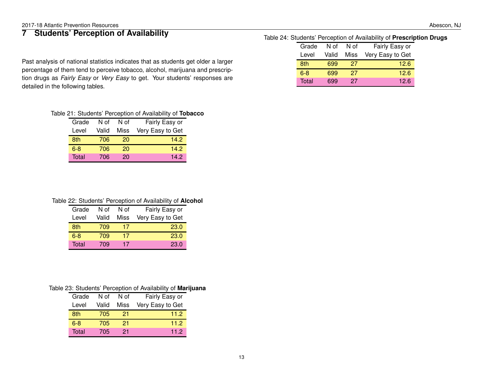## <span id="page-12-0"></span>**7 Students' Perception of Availability**

Past analysis of national statistics indicates that as students get older a larger percentage of them tend to perceive tobacco, alcohol, marijuana and prescription drugs as *Fairly Easy* or *Very Easy* to get. Your students' responses are detailed in the following tables.

#### Table 24: Students' Perception of Availability of **Prescription Drugs**

| Grade   | N of  | N of | Fairly Easy or   |
|---------|-------|------|------------------|
| Level   | Valid | Miss | Very Easy to Get |
| 8th     | 699   | 27   | 12.6             |
| $6 - 8$ | 699   | 27   | 12.6             |
| Total   | 699   | 27   | 12.6             |

#### Table 21: Students' Perception of Availability of **Tobacco**

| Grade   | N of  | N of | Fairly Easy or   |  |
|---------|-------|------|------------------|--|
| Level   | Valid | Miss | Very Easy to Get |  |
| 8th     | 706   | 20   | 14.2             |  |
| $6 - 8$ | 706   | 20   | 14.2             |  |
| Total   | 706   | 20   | 14.2             |  |

#### Table 22: Students' Perception of Availability of **Alcohol**

| Grade   | N of  | N of | Fairly Easy or   |
|---------|-------|------|------------------|
| Level   | Valid | Miss | Very Easy to Get |
| 8th     | 709   | 17   | 23.0             |
| $6 - 8$ | 709   | 17   | 23.0             |
| Total   | 709   | 17   | 23.0             |

#### Table 23: Students' Perception of Availability of **Marijuana**

| Grade   | N of  | N of | Fairly Easy or   |
|---------|-------|------|------------------|
| Level   | Valid | Miss | Very Easy to Get |
| 8th     | 705   | 21   | 11.2             |
| $6 - 8$ | 705   | 21   | 11.2             |
| Total   | 705   | 21   | 11.2             |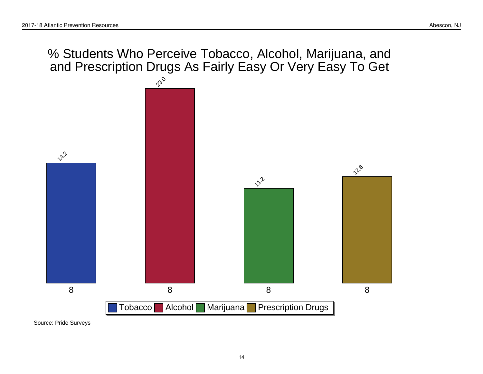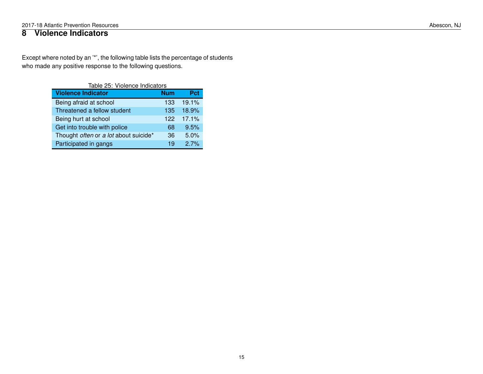### <span id="page-14-0"></span>**8 Violence Indicators**

Except where noted by an '\*', the following table lists the percentage of students who made any positive response to the following questions.

| Table 25: Violence Indicators         |            |       |  |  |
|---------------------------------------|------------|-------|--|--|
| <b>Violence Indicator</b>             | <b>Num</b> | Pct   |  |  |
| Being afraid at school                | 133        | 19.1% |  |  |
| Threatened a fellow student           | 135        | 18.9% |  |  |
| Being hurt at school                  | 122        | 17.1% |  |  |
| Get into trouble with police          | 68         | 9.5%  |  |  |
| Thought often or a lot about suicide* | 36         | 5.0%  |  |  |
| Participated in gangs                 | 19         | 27%   |  |  |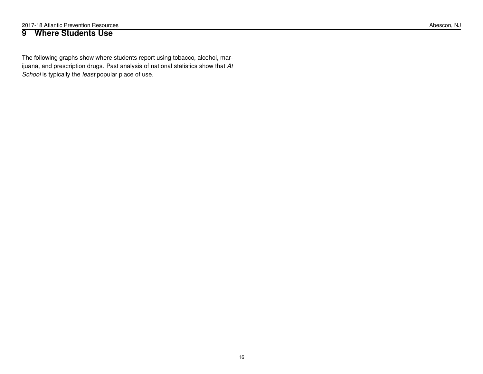### <span id="page-15-0"></span>**9 Where Students Use**

The following graphs show where students report using tobacco, alcohol, marijuana, and prescription drugs. Past analysis of national statistics show that *At School* is typically the *least* popular place of use.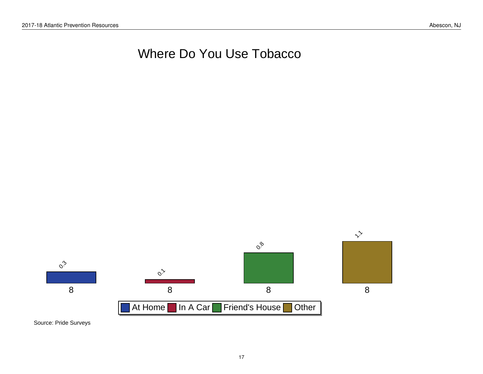# Where Do You Use Tobacco

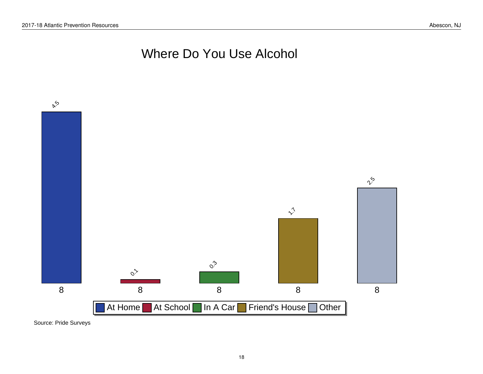# Where Do You Use Alcohol

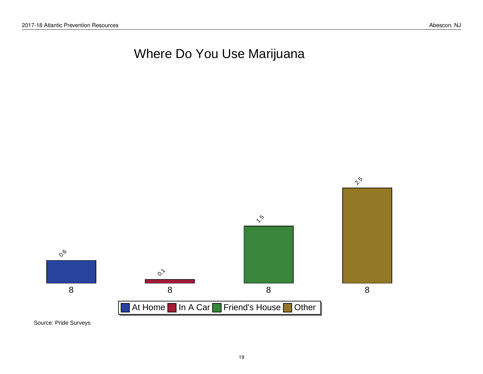# Where Do You Use Marijuana

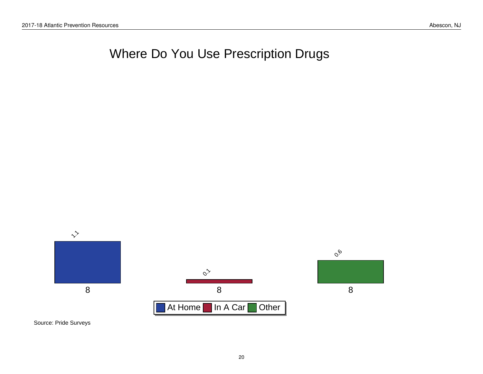# Where Do You Use Prescription Drugs

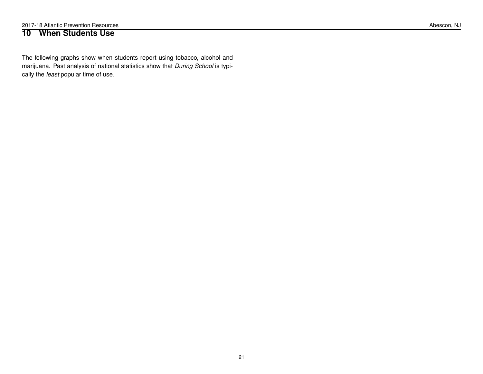### <span id="page-20-0"></span>**10 When Students Use**

The following graphs show when students report using tobacco, alcohol and marijuana. Past analysis of national statistics show that *During School* is typically the *least* popular time of use.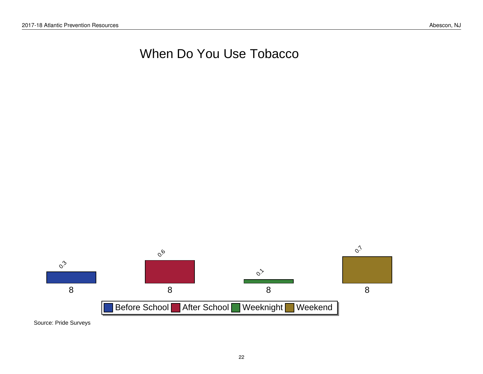# When Do You Use Tobacco

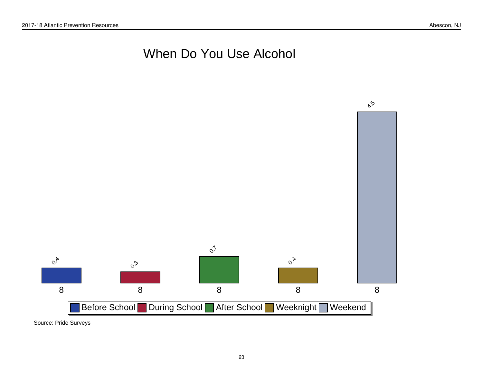# When Do You Use Alcohol

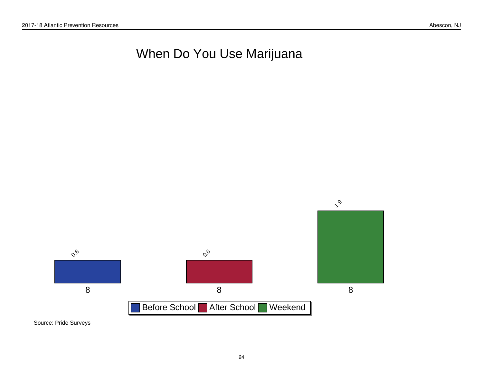# When Do You Use Marijuana

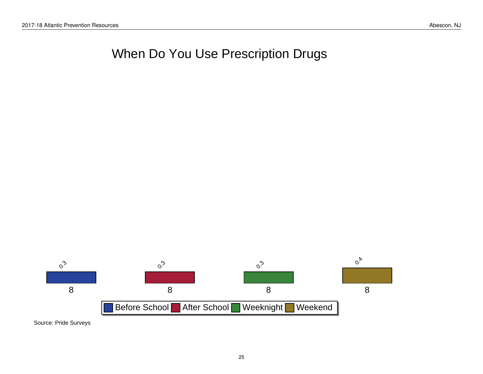# When Do You Use Prescription Drugs

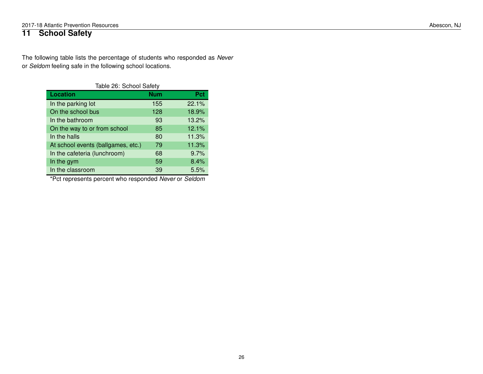## <span id="page-25-0"></span>**11 School Safety**

The following table lists the percentage of students who responded as *Never* or *Seldom* feeling safe in the following school locations.

| Table 26: School Safety            |            |       |  |  |
|------------------------------------|------------|-------|--|--|
| <b>Location</b>                    | <b>Num</b> | Pct   |  |  |
| In the parking lot                 | 155        | 22.1% |  |  |
| On the school bus                  | 128        | 18.9% |  |  |
| In the bathroom                    | 93         | 13.2% |  |  |
| On the way to or from school       | 85         | 12.1% |  |  |
| In the halls                       | 80         | 11.3% |  |  |
| At school events (ballgames, etc.) | 79         | 11.3% |  |  |
| In the cafeteria (lunchroom)       | 68         | 9.7%  |  |  |
| In the gym                         | 59         | 8.4%  |  |  |
| In the classroom                   | 39         | 5.5%  |  |  |

\*Pct represents percent who responded *Never* or *Seldom*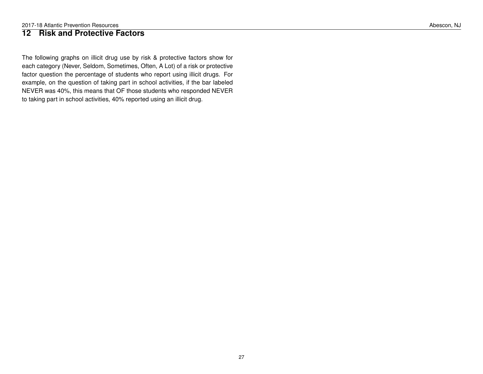### <span id="page-26-0"></span>**12 Risk and Protective Factors**

The following graphs on illicit drug use by risk & protective factors show for each category (Never, Seldom, Sometimes, Often, A Lot) of a risk or protective factor question the percentage of students who report using illicit drugs. For example, on the question of taking part in school activities, if the bar labeled NEVER was 40%, this means that OF those students who responded NEVER to taking part in school activities, 40% reported using an illicit drug.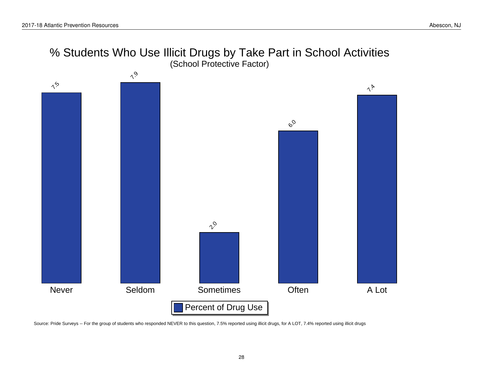



Source: Pride Surveys -- For the group of students who responded NEVER to this question, 7.5% reported using illicit drugs, for A LOT, 7.4% reported using illicit drugs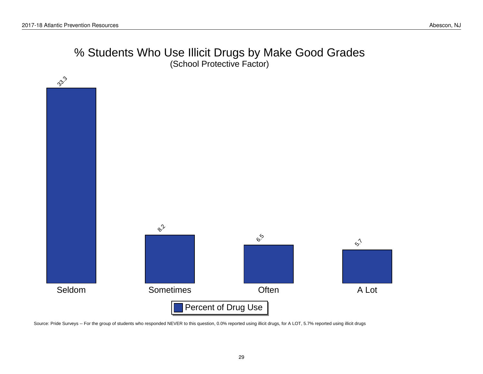## % Students Who Use Illicit Drugs by Make Good Grades (School Protective Factor)



Source: Pride Surveys -- For the group of students who responded NEVER to this question, 0.0% reported using illicit drugs, for A LOT, 5.7% reported using illicit drugs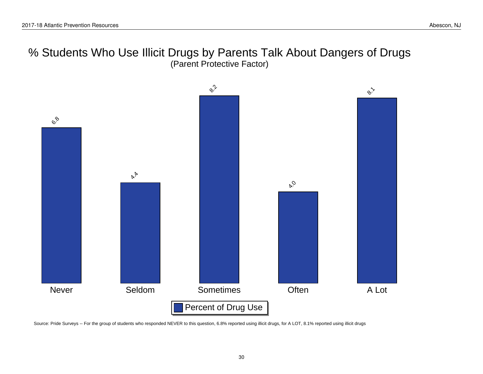% Students Who Use Illicit Drugs by Parents Talk About Dangers of Drugs (Parent Protective Factor)



Source: Pride Surveys -- For the group of students who responded NEVER to this question, 6.8% reported using illicit drugs, for A LOT, 8.1% reported using illicit drugs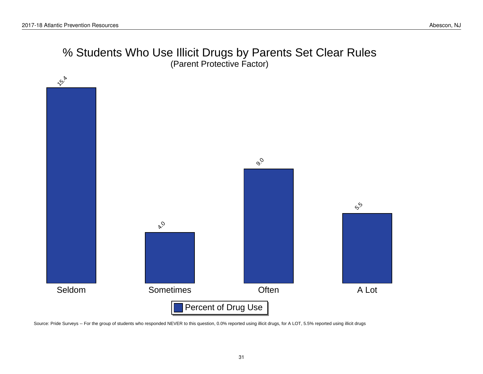## % Students Who Use Illicit Drugs by Parents Set Clear Rules (Parent Protective Factor)



Source: Pride Surveys -- For the group of students who responded NEVER to this question, 0.0% reported using illicit drugs, for A LOT, 5.5% reported using illicit drugs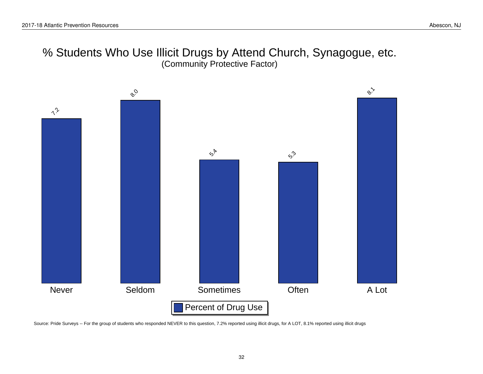## % Students Who Use Illicit Drugs by Attend Church, Synagogue, etc. (Community Protective Factor)



Source: Pride Surveys -- For the group of students who responded NEVER to this question, 7.2% reported using illicit drugs, for A LOT, 8.1% reported using illicit drugs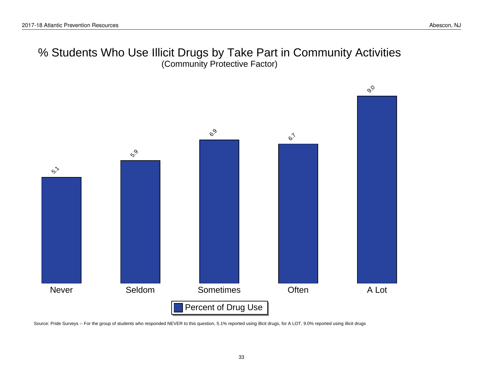## % Students Who Use Illicit Drugs by Take Part in Community Activities (Community Protective Factor)



Source: Pride Surveys -- For the group of students who responded NEVER to this question, 5.1% reported using illicit drugs, for A LOT, 9.0% reported using illicit drugs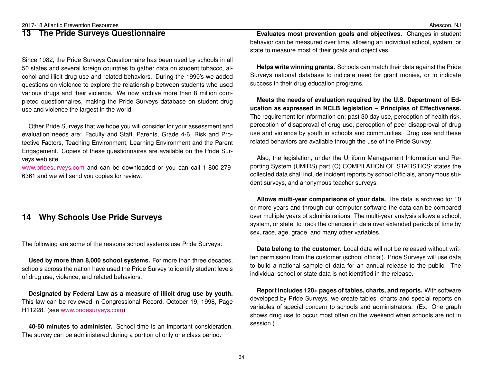### <span id="page-33-0"></span>**13 The Pride Surveys Questionnaire**

Since 1982, the Pride Surveys Questionnaire has been used by schools in all 50 states and several foreign countries to gather data on student tobacco, alcohol and illicit drug use and related behaviors. During the 1990's we added questions on violence to explore the relationship between students who used various drugs and their violence. We now archive more than 8 million completed questionnaires, making the Pride Surveys database on student drug use and violence the largest in the world.

Other Pride Surveys that we hope you will consider for your assessment and evaluation needs are: Faculty and Staff, Parents, Grade 4-6, Risk and Protective Factors, Teaching Environment, Learning Environment and the Parent Engagement. Copies of these questionnaires are available on the Pride Surveys web site

[www.pridesurveys.com](http://www.pridesurveys.com) and can be downloaded or you can call 1-800-279- 6361 and we will send you copies for review.

### <span id="page-33-1"></span>**14 Why Schools Use Pride Surveys**

The following are some of the reasons school systems use Pride Surveys:

**Used by more than 8,000 school systems.** For more than three decades, schools across the nation have used the Pride Survey to identify student levels of drug use, violence, and related behaviors.

**Designated by Federal Law as a measure of illicit drug use by youth.** This law can be reviewed in Congressional Record, October 19, 1998, Page H11228. (see [www.pridesurveys.com\)](http://www.pridesurveys.com)

**40-50 minutes to administer.** School time is an important consideration. The survey can be administered during a portion of only one class period.

**Evaluates most prevention goals and objectives.** Changes in student behavior can be measured over time, allowing an individual school, system, or state to measure most of their goals and objectives.

**Helps write winning grants.** Schools can match their data against the Pride Surveys national database to indicate need for grant monies, or to indicate success in their drug education programs.

**Meets the needs of evaluation required by the U.S. Department of Education as expressed in NCLB legislation – Principles of Effectiveness.** The requirement for information on: past 30 day use, perception of health risk, perception of disapproval of drug use, perception of peer disapproval of drug use and violence by youth in schools and communities. Drug use and these related behaviors are available through the use of the Pride Survey.

Also, the legislation, under the Uniform Management Information and Reporting System (UMIRS) part (C) COMPILATION OF STATISTICS: states the collected data shall include incident reports by school officials, anonymous student surveys, and anonymous teacher surveys.

**Allows multi-year comparisons of your data.** The data is archived for 10 or more years and through our computer software the data can be compared over multiple years of administrations. The multi-year analysis allows a school, system, or state, to track the changes in data over extended periods of time by sex, race, age, grade, and many other variables.

**Data belong to the customer.** Local data will not be released without written permission from the customer (school official). Pride Surveys will use data to build a national sample of data for an annual release to the public. The individual school or state data is not identified in the release.

**Report includes 120+ pages of tables, charts, and reports.** With software developed by Pride Surveys, we create tables, charts and special reports on variables of special concern to schools and administrators. (Ex. One graph shows drug use to occur most often on the weekend when schools are not in session.)